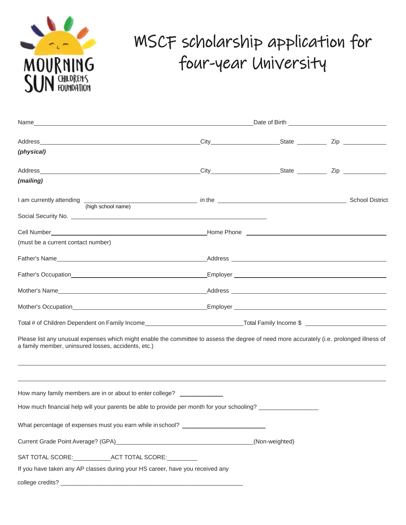

# MSCF scholarship application for four-year University

| (physical)                                                                                                                                                                                                                                                                           |  |                |  |
|--------------------------------------------------------------------------------------------------------------------------------------------------------------------------------------------------------------------------------------------------------------------------------------|--|----------------|--|
|                                                                                                                                                                                                                                                                                      |  |                |  |
| (mailing)                                                                                                                                                                                                                                                                            |  |                |  |
| I am currently attending (high school name) in the Communication of the School District                                                                                                                                                                                              |  |                |  |
| Social Security No. <u>2000 Communications and Communications</u> and Communications and Communications and Communications and Communications and Communications and Communications and Communications and Communications and Commu                                                  |  |                |  |
|                                                                                                                                                                                                                                                                                      |  |                |  |
| (must be a current contact number)                                                                                                                                                                                                                                                   |  |                |  |
|                                                                                                                                                                                                                                                                                      |  |                |  |
|                                                                                                                                                                                                                                                                                      |  |                |  |
|                                                                                                                                                                                                                                                                                      |  |                |  |
|                                                                                                                                                                                                                                                                                      |  |                |  |
|                                                                                                                                                                                                                                                                                      |  |                |  |
| Please list any unusual expenses which might enable the committee to assess the degree of need more accurately (i.e. prolonged illness of<br>a family member, uninsured losses, accidents, etc.)<br>,我们也不会有什么?""我们的人,我们也不会有什么?""我们的人,我们也不会有什么?""我们的人,我们也不会有什么?""我们的人,我们也不会有什么?""我们的人 |  |                |  |
|                                                                                                                                                                                                                                                                                      |  |                |  |
| How many family members are in or about to enter college? _____________                                                                                                                                                                                                              |  |                |  |
| How much financial help will your parents be able to provide per month for your schooling?                                                                                                                                                                                           |  |                |  |
| What percentage of expenses must you earn while in school? _____________________                                                                                                                                                                                                     |  |                |  |
| Current Grade Point Average? (GPA) Manual Communication of the Communication of the Communication of the Communication of the Communication of the Communication of the Communication of the Communication of the Communicatio                                                       |  | (Non-weighted) |  |
|                                                                                                                                                                                                                                                                                      |  |                |  |
| If you have taken any AP classes during your HS career, have you received any                                                                                                                                                                                                        |  |                |  |
|                                                                                                                                                                                                                                                                                      |  |                |  |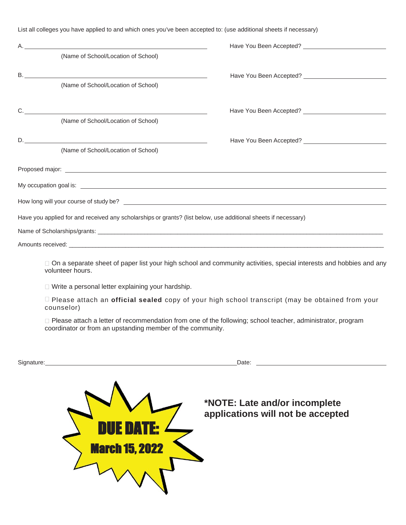List all colleges you have applied to and which ones you've been accepted to: (use additional sheets if necessary)

| (Name of School/Location of School)                                                                                                                                                                                                  |  |  |  |
|--------------------------------------------------------------------------------------------------------------------------------------------------------------------------------------------------------------------------------------|--|--|--|
|                                                                                                                                                                                                                                      |  |  |  |
| (Name of School/Location of School)                                                                                                                                                                                                  |  |  |  |
| $C.$ $\qquad \qquad$                                                                                                                                                                                                                 |  |  |  |
| (Name of School/Location of School)                                                                                                                                                                                                  |  |  |  |
|                                                                                                                                                                                                                                      |  |  |  |
| (Name of School/Location of School)                                                                                                                                                                                                  |  |  |  |
|                                                                                                                                                                                                                                      |  |  |  |
| My occupation goal is: <u>example and contract and contract and contract and contract and contract and contract and contract and contract and contract and contract and contract and contract and contract and contract and cont</u> |  |  |  |
|                                                                                                                                                                                                                                      |  |  |  |
| Have you applied for and received any scholarships or grants? (list below, use additional sheets if necessary)                                                                                                                       |  |  |  |
|                                                                                                                                                                                                                                      |  |  |  |
|                                                                                                                                                                                                                                      |  |  |  |
| □ On a separate sheet of paper list your high school and community activities, special interests and hobbies and any<br>volunteer hours.                                                                                             |  |  |  |

□ Write a personal letter explaining your hardship.

Please attach an **official sealed** copy of your high school transcript (may be obtained from your counselor)

□ Please attach a letter of recommendation from one of the following; school teacher, administrator, program coordinator or from an upstanding member of the community.

| Signature:            | Date:                                                              |
|-----------------------|--------------------------------------------------------------------|
| <b>March 15, 2022</b> | *NOTE: Late and/or incomplete<br>applications will not be accepted |